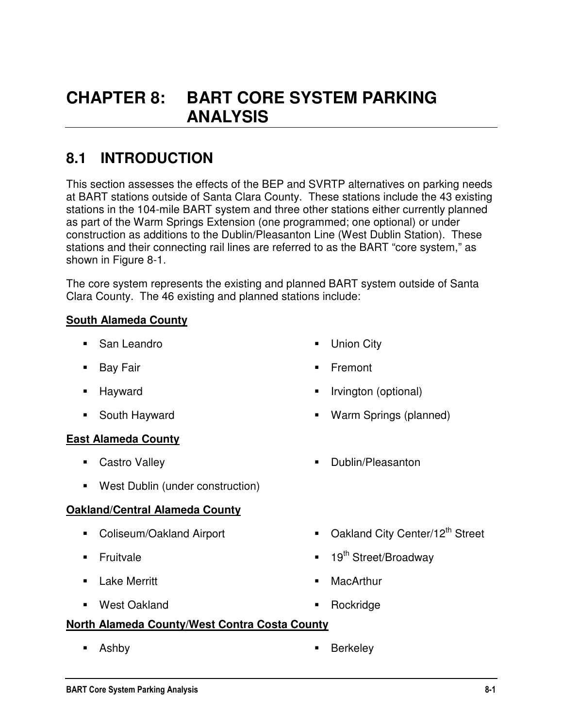# **CHAPTER 8: BART CORE SYSTEM PARKING ANALYSIS**

# **8.1 INTRODUCTION**

This section assesses the effects of the BEP and SVRTP alternatives on parking needs at BART stations outside of Santa Clara County. These stations include the 43 existing stations in the 104-mile BART system and three other stations either currently planned as part of the Warm Springs Extension (one programmed; one optional) or under construction as additions to the Dublin/Pleasanton Line (West Dublin Station). These stations and their connecting rail lines are referred to as the BART "core system," as shown in Figure 8-1.

The core system represents the existing and planned BART system outside of Santa Clara County. The 46 existing and planned stations include:

#### **South Alameda County**

- San Leandro
- **Bay Fair**
- **-** Hayward
- South Hayward

#### **East Alameda County**

- Castro Valley
- West Dublin (under construction)

#### **Oakland/Central Alameda County**

- Coliseum/Oakland Airport
- **Fruitvale**
- **Lake Merritt**
- West Oakland
- **Union City**
- Fremont
- Irvington (optional)
- Warm Springs (planned)
- **Dublin/Pleasanton**
- Oakland City Center/12<sup>th</sup> Street
- $\blacksquare$  19<sup>th</sup> Street/Broadway
- **MacArthur**
- **Rockridge**

#### **North Alameda County/West Contra Costa County**

- 
- **Ashby Berkeley**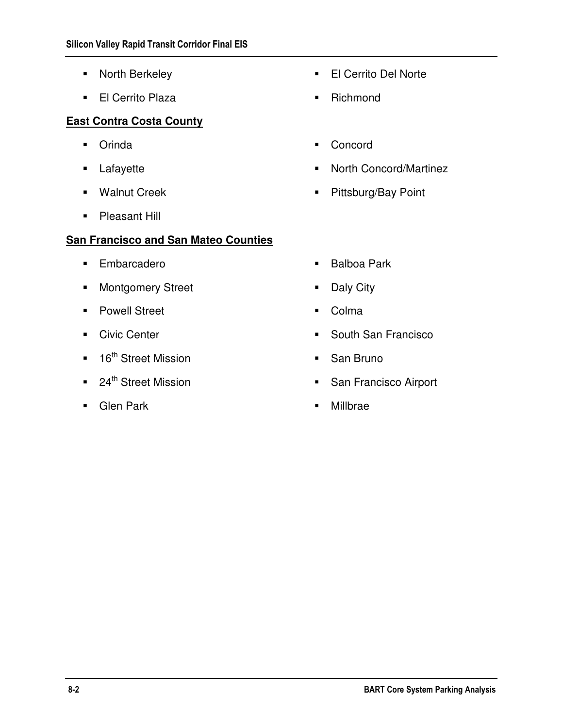- **North Berkeley**
- **El Cerrito Plaza**

#### **East Contra Costa County**

- **•** Orinda
- **Lafayette**
- **Walnut Creek**
- **Pleasant Hill**

### **San Francisco and San Mateo Counties**

- **Embarcadero**
- **Montgomery Street**
- **Powell Street**
- **Civic Center**
- 16<sup>th</sup> Street Mission
- 24<sup>th</sup> Street Mission
- **Glen Park**
- El Cerrito Del Norte
- Richmond
- **Concord**
- North Concord/Martinez
- **Pittsburg/Bay Point**
- **Balboa Park**
- Daly City
- Colma
- South San Francisco
- **San Bruno**
- **San Francisco Airport**
- Millbrae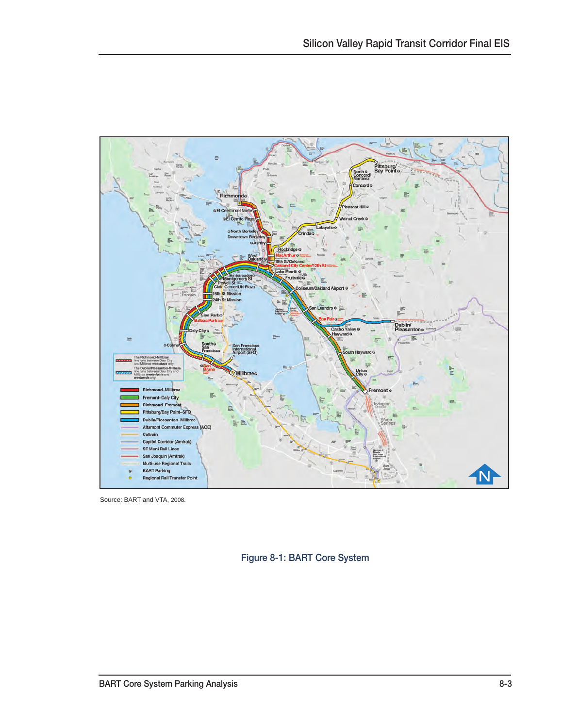

Source: BART and VTA, 2008.

Figure 8-1: BART Core System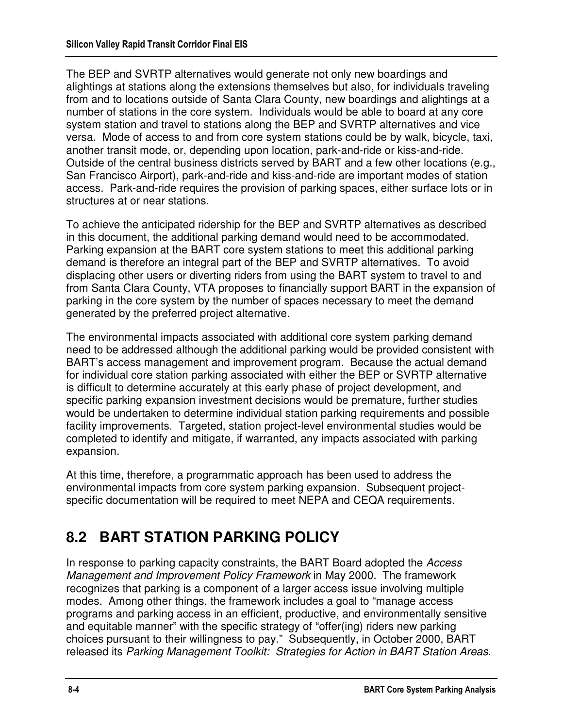The BEP and SVRTP alternatives would generate not only new boardings and alightings at stations along the extensions themselves but also, for individuals traveling from and to locations outside of Santa Clara County, new boardings and alightings at a number of stations in the core system. Individuals would be able to board at any core system station and travel to stations along the BEP and SVRTP alternatives and vice versa. Mode of access to and from core system stations could be by walk, bicycle, taxi, another transit mode, or, depending upon location, park-and-ride or kiss-and-ride. Outside of the central business districts served by BART and a few other locations (e.g., San Francisco Airport), park-and-ride and kiss-and-ride are important modes of station access. Park-and-ride requires the provision of parking spaces, either surface lots or in structures at or near stations.

To achieve the anticipated ridership for the BEP and SVRTP alternatives as described in this document, the additional parking demand would need to be accommodated. Parking expansion at the BART core system stations to meet this additional parking demand is therefore an integral part of the BEP and SVRTP alternatives. To avoid displacing other users or diverting riders from using the BART system to travel to and from Santa Clara County, VTA proposes to financially support BART in the expansion of parking in the core system by the number of spaces necessary to meet the demand generated by the preferred project alternative.

The environmental impacts associated with additional core system parking demand need to be addressed although the additional parking would be provided consistent with BART's access management and improvement program. Because the actual demand for individual core station parking associated with either the BEP or SVRTP alternative is difficult to determine accurately at this early phase of project development, and specific parking expansion investment decisions would be premature, further studies would be undertaken to determine individual station parking requirements and possible facility improvements. Targeted, station project-level environmental studies would be completed to identify and mitigate, if warranted, any impacts associated with parking expansion.

At this time, therefore, a programmatic approach has been used to address the environmental impacts from core system parking expansion. Subsequent projectspecific documentation will be required to meet NEPA and CEQA requirements.

# **8.2 BART STATION PARKING POLICY**

In response to parking capacity constraints, the BART Board adopted the Access Management and Improvement Policy Framework in May 2000. The framework recognizes that parking is a component of a larger access issue involving multiple modes. Among other things, the framework includes a goal to "manage access programs and parking access in an efficient, productive, and environmentally sensitive and equitable manner" with the specific strategy of "offer(ing) riders new parking choices pursuant to their willingness to pay." Subsequently, in October 2000, BART released its Parking Management Toolkit: Strategies for Action in BART Station Areas.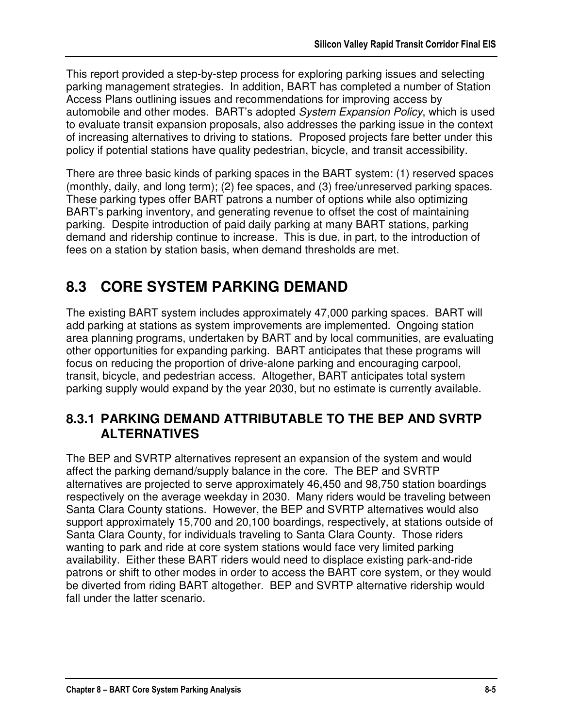This report provided a step-by-step process for exploring parking issues and selecting parking management strategies. In addition, BART has completed a number of Station Access Plans outlining issues and recommendations for improving access by automobile and other modes. BART's adopted System Expansion Policy, which is used to evaluate transit expansion proposals, also addresses the parking issue in the context of increasing alternatives to driving to stations. Proposed projects fare better under this policy if potential stations have quality pedestrian, bicycle, and transit accessibility.

There are three basic kinds of parking spaces in the BART system: (1) reserved spaces (monthly, daily, and long term); (2) fee spaces, and (3) free/unreserved parking spaces. These parking types offer BART patrons a number of options while also optimizing BART's parking inventory, and generating revenue to offset the cost of maintaining parking. Despite introduction of paid daily parking at many BART stations, parking demand and ridership continue to increase. This is due, in part, to the introduction of fees on a station by station basis, when demand thresholds are met.

# **8.3 CORE SYSTEM PARKING DEMAND**

The existing BART system includes approximately 47,000 parking spaces. BART will add parking at stations as system improvements are implemented. Ongoing station area planning programs, undertaken by BART and by local communities, are evaluating other opportunities for expanding parking. BART anticipates that these programs will focus on reducing the proportion of drive-alone parking and encouraging carpool, transit, bicycle, and pedestrian access. Altogether, BART anticipates total system parking supply would expand by the year 2030, but no estimate is currently available.

## **8.3.1 PARKING DEMAND ATTRIBUTABLE TO THE BEP AND SVRTP ALTERNATIVES**

The BEP and SVRTP alternatives represent an expansion of the system and would affect the parking demand/supply balance in the core. The BEP and SVRTP alternatives are projected to serve approximately 46,450 and 98,750 station boardings respectively on the average weekday in 2030. Many riders would be traveling between Santa Clara County stations. However, the BEP and SVRTP alternatives would also support approximately 15,700 and 20,100 boardings, respectively, at stations outside of Santa Clara County, for individuals traveling to Santa Clara County. Those riders wanting to park and ride at core system stations would face very limited parking availability. Either these BART riders would need to displace existing park-and-ride patrons or shift to other modes in order to access the BART core system, or they would be diverted from riding BART altogether. BEP and SVRTP alternative ridership would fall under the latter scenario.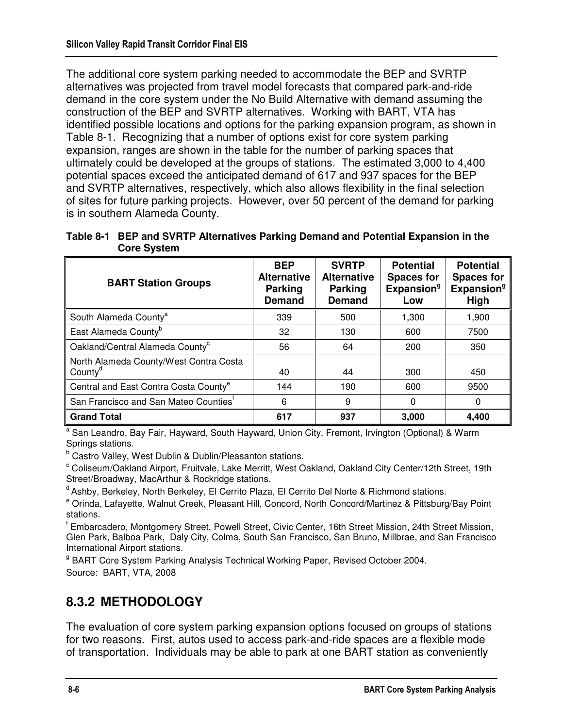The additional core system parking needed to accommodate the BEP and SVRTP alternatives was projected from travel model forecasts that compared park-and-ride demand in the core system under the No Build Alternative with demand assuming the construction of the BEP and SVRTP alternatives. Working with BART, VTA has identified possible locations and options for the parking expansion program, as shown in Table 8-1. Recognizing that a number of options exist for core system parking expansion, ranges are shown in the table for the number of parking spaces that ultimately could be developed at the groups of stations. The estimated 3,000 to 4,400 potential spaces exceed the anticipated demand of 617 and 937 spaces for the BEP and SVRTP alternatives, respectively, which also allows flexibility in the final selection of sites for future parking projects. However, over 50 percent of the demand for parking is in southern Alameda County.

| Table 8-1 BEP and SVRTP Alternatives Parking Demand and Potential Expansion in the |
|------------------------------------------------------------------------------------|
| <b>Core System</b>                                                                 |

| <b>BART Station Groups</b>                                    | <b>BEP</b><br><b>Alternative</b><br><b>Parking</b><br><b>Demand</b> | <b>SVRTP</b><br><b>Alternative</b><br><b>Parking</b><br><b>Demand</b> | <b>Potential</b><br><b>Spaces for</b><br><b>Expansion</b> <sup>9</sup><br>Low | <b>Potential</b><br><b>Spaces for</b><br><b>Expansion</b> <sup>9</sup><br>High |
|---------------------------------------------------------------|---------------------------------------------------------------------|-----------------------------------------------------------------------|-------------------------------------------------------------------------------|--------------------------------------------------------------------------------|
| South Alameda County <sup>a</sup>                             | 339                                                                 | 500                                                                   | 1,300                                                                         | 1,900                                                                          |
| East Alameda County <sup>b</sup>                              | 32                                                                  | 130                                                                   | 600                                                                           | 7500                                                                           |
| Oakland/Central Alameda County <sup>c</sup>                   | 56                                                                  | 64                                                                    | 200                                                                           | 350                                                                            |
| North Alameda County/West Contra Costa<br>County <sup>d</sup> | 40                                                                  | 44                                                                    | 300                                                                           | 450                                                                            |
| Central and East Contra Costa County <sup>e</sup>             | 144                                                                 | 190                                                                   | 600                                                                           | 9500                                                                           |
| San Francisco and San Mateo Counties <sup>t</sup>             | 6                                                                   | 9                                                                     | $\Omega$                                                                      | 0                                                                              |
| <b>Grand Total</b>                                            | 617                                                                 | 937                                                                   | 3,000                                                                         | 4,400                                                                          |

<sup>a</sup> San Leandro, Bay Fair, Hayward, South Hayward, Union City, Fremont, Irvington (Optional) & Warm Springs stations.

<sup>b</sup> Castro Valley, West Dublin & Dublin/Pleasanton stations.

<sup>c</sup> Coliseum/Oakland Airport, Fruitvale, Lake Merritt, West Oakland, Oakland City Center/12th Street, 19th Street/Broadway, MacArthur & Rockridge stations.

 $\textsuperscript{d}$  Ashby, Berkeley, North Berkeley, El Cerrito Plaza, El Cerrito Del Norte & Richmond stations.

e Orinda, Lafayette, Walnut Creek, Pleasant Hill, Concord, North Concord/Martinez & Pittsburg/Bay Point stations.

f Embarcadero, Montgomery Street, Powell Street, Civic Center, 16th Street Mission, 24th Street Mission, Glen Park, Balboa Park, Daly City, Colma, South San Francisco, San Bruno, Millbrae, and San Francisco International Airport stations.

<sup>g</sup> BART Core System Parking Analysis Technical Working Paper, Revised October 2004. Source: BART, VTA, 2008

## **8.3.2 METHODOLOGY**

The evaluation of core system parking expansion options focused on groups of stations for two reasons. First, autos used to access park-and-ride spaces are a flexible mode of transportation. Individuals may be able to park at one BART station as conveniently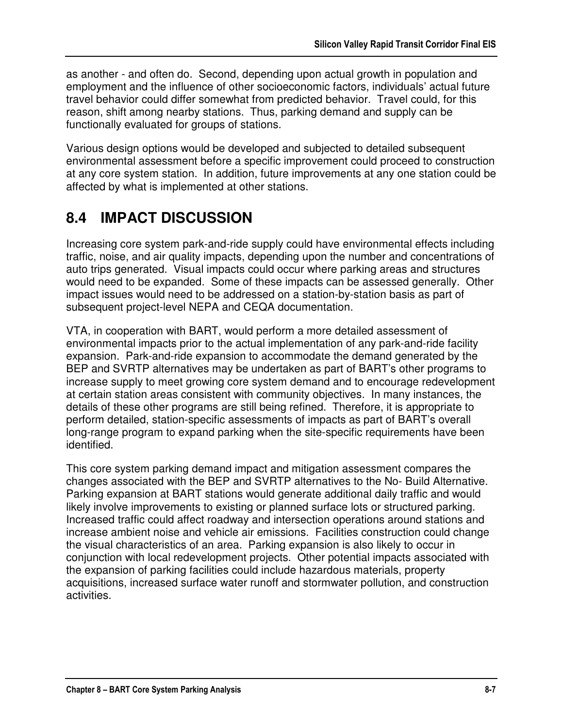as another - and often do. Second, depending upon actual growth in population and employment and the influence of other socioeconomic factors, individuals' actual future travel behavior could differ somewhat from predicted behavior. Travel could, for this reason, shift among nearby stations. Thus, parking demand and supply can be functionally evaluated for groups of stations.

Various design options would be developed and subjected to detailed subsequent environmental assessment before a specific improvement could proceed to construction at any core system station. In addition, future improvements at any one station could be affected by what is implemented at other stations.

# **8.4 IMPACT DISCUSSION**

Increasing core system park-and-ride supply could have environmental effects including traffic, noise, and air quality impacts, depending upon the number and concentrations of auto trips generated. Visual impacts could occur where parking areas and structures would need to be expanded. Some of these impacts can be assessed generally. Other impact issues would need to be addressed on a station-by-station basis as part of subsequent project-level NEPA and CEQA documentation.

VTA, in cooperation with BART, would perform a more detailed assessment of environmental impacts prior to the actual implementation of any park-and-ride facility expansion. Park-and-ride expansion to accommodate the demand generated by the BEP and SVRTP alternatives may be undertaken as part of BART's other programs to increase supply to meet growing core system demand and to encourage redevelopment at certain station areas consistent with community objectives. In many instances, the details of these other programs are still being refined. Therefore, it is appropriate to perform detailed, station-specific assessments of impacts as part of BART's overall long-range program to expand parking when the site-specific requirements have been identified.

This core system parking demand impact and mitigation assessment compares the changes associated with the BEP and SVRTP alternatives to the No- Build Alternative. Parking expansion at BART stations would generate additional daily traffic and would likely involve improvements to existing or planned surface lots or structured parking. Increased traffic could affect roadway and intersection operations around stations and increase ambient noise and vehicle air emissions. Facilities construction could change the visual characteristics of an area. Parking expansion is also likely to occur in conjunction with local redevelopment projects. Other potential impacts associated with the expansion of parking facilities could include hazardous materials, property acquisitions, increased surface water runoff and stormwater pollution, and construction activities.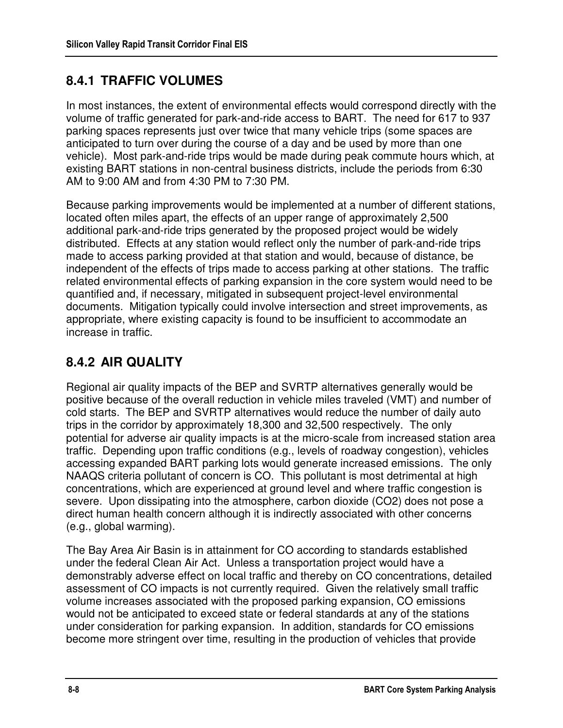# **8.4.1 TRAFFIC VOLUMES**

In most instances, the extent of environmental effects would correspond directly with the volume of traffic generated for park-and-ride access to BART. The need for 617 to 937 parking spaces represents just over twice that many vehicle trips (some spaces are anticipated to turn over during the course of a day and be used by more than one vehicle). Most park-and-ride trips would be made during peak commute hours which, at existing BART stations in non-central business districts, include the periods from 6:30 AM to 9:00 AM and from 4:30 PM to 7:30 PM.

Because parking improvements would be implemented at a number of different stations, located often miles apart, the effects of an upper range of approximately 2,500 additional park-and-ride trips generated by the proposed project would be widely distributed. Effects at any station would reflect only the number of park-and-ride trips made to access parking provided at that station and would, because of distance, be independent of the effects of trips made to access parking at other stations. The traffic related environmental effects of parking expansion in the core system would need to be quantified and, if necessary, mitigated in subsequent project-level environmental documents. Mitigation typically could involve intersection and street improvements, as appropriate, where existing capacity is found to be insufficient to accommodate an increase in traffic.

# **8.4.2 AIR QUALITY**

Regional air quality impacts of the BEP and SVRTP alternatives generally would be positive because of the overall reduction in vehicle miles traveled (VMT) and number of cold starts. The BEP and SVRTP alternatives would reduce the number of daily auto trips in the corridor by approximately 18,300 and 32,500 respectively. The only potential for adverse air quality impacts is at the micro-scale from increased station area traffic. Depending upon traffic conditions (e.g., levels of roadway congestion), vehicles accessing expanded BART parking lots would generate increased emissions. The only NAAQS criteria pollutant of concern is CO. This pollutant is most detrimental at high concentrations, which are experienced at ground level and where traffic congestion is severe. Upon dissipating into the atmosphere, carbon dioxide (CO2) does not pose a direct human health concern although it is indirectly associated with other concerns (e.g., global warming).

The Bay Area Air Basin is in attainment for CO according to standards established under the federal Clean Air Act. Unless a transportation project would have a demonstrably adverse effect on local traffic and thereby on CO concentrations, detailed assessment of CO impacts is not currently required. Given the relatively small traffic volume increases associated with the proposed parking expansion, CO emissions would not be anticipated to exceed state or federal standards at any of the stations under consideration for parking expansion. In addition, standards for CO emissions become more stringent over time, resulting in the production of vehicles that provide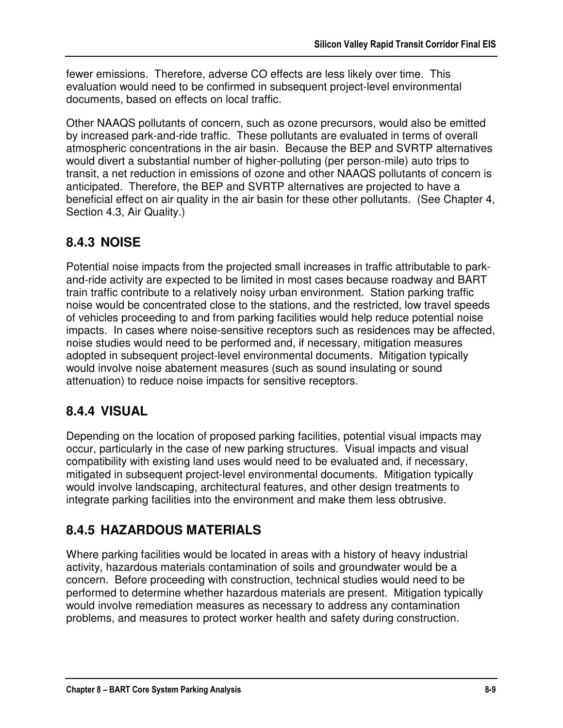fewer emissions. Therefore, adverse CO effects are less likely over time. This evaluation would need to be confirmed in subsequent project-level environmental documents, based on effects on local traffic.

Other NAAQS pollutants of concern, such as ozone precursors, would also be emitted by increased park-and-ride traffic. These pollutants are evaluated in terms of overall atmospheric concentrations in the air basin. Because the BEP and SVRTP alternatives would divert a substantial number of higher-polluting (per person-mile) auto trips to transit, a net reduction in emissions of ozone and other NAAQS pollutants of concern is anticipated. Therefore, the BEP and SVRTP alternatives are projected to have a beneficial effect on air quality in the air basin for these other pollutants. (See Chapter 4, Section 4.3, Air Quality.)

# **8.4.3 NOISE**

Potential noise impacts from the projected small increases in traffic attributable to parkand-ride activity are expected to be limited in most cases because roadway and BART train traffic contribute to a relatively noisy urban environment. Station parking traffic noise would be concentrated close to the stations, and the restricted, low travel speeds of vehicles proceeding to and from parking facilities would help reduce potential noise impacts. In cases where noise-sensitive receptors such as residences may be affected, noise studies would need to be performed and, if necessary, mitigation measures adopted in subsequent project-level environmental documents. Mitigation typically would involve noise abatement measures (such as sound insulating or sound attenuation) to reduce noise impacts for sensitive receptors.

# **8.4.4 VISUAL**

Depending on the location of proposed parking facilities, potential visual impacts may occur, particularly in the case of new parking structures. Visual impacts and visual compatibility with existing land uses would need to be evaluated and, if necessary, mitigated in subsequent project-level environmental documents. Mitigation typically would involve landscaping, architectural features, and other design treatments to integrate parking facilities into the environment and make them less obtrusive.

# **8.4.5 HAZARDOUS MATERIALS**

Where parking facilities would be located in areas with a history of heavy industrial activity, hazardous materials contamination of soils and groundwater would be a concern. Before proceeding with construction, technical studies would need to be performed to determine whether hazardous materials are present. Mitigation typically would involve remediation measures as necessary to address any contamination problems, and measures to protect worker health and safety during construction.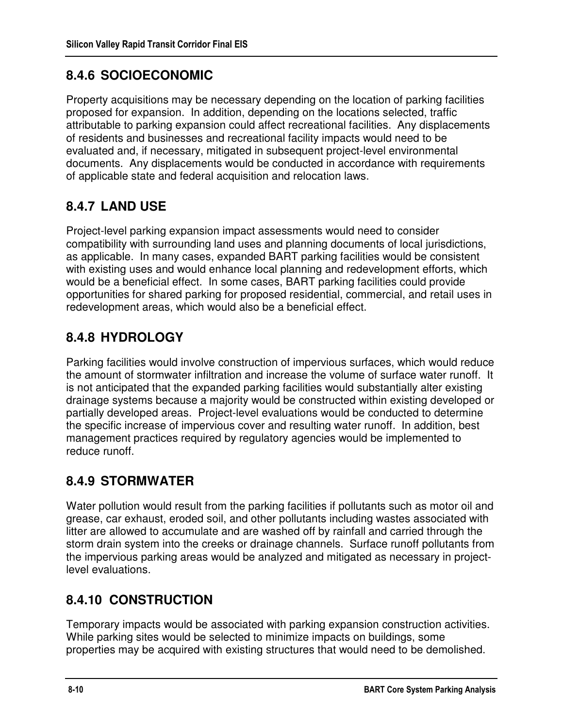# **8.4.6 SOCIOECONOMIC**

Property acquisitions may be necessary depending on the location of parking facilities proposed for expansion. In addition, depending on the locations selected, traffic attributable to parking expansion could affect recreational facilities. Any displacements of residents and businesses and recreational facility impacts would need to be evaluated and, if necessary, mitigated in subsequent project-level environmental documents. Any displacements would be conducted in accordance with requirements of applicable state and federal acquisition and relocation laws.

# **8.4.7 LAND USE**

Project-level parking expansion impact assessments would need to consider compatibility with surrounding land uses and planning documents of local jurisdictions, as applicable. In many cases, expanded BART parking facilities would be consistent with existing uses and would enhance local planning and redevelopment efforts, which would be a beneficial effect. In some cases, BART parking facilities could provide opportunities for shared parking for proposed residential, commercial, and retail uses in redevelopment areas, which would also be a beneficial effect.

# **8.4.8 HYDROLOGY**

Parking facilities would involve construction of impervious surfaces, which would reduce the amount of stormwater infiltration and increase the volume of surface water runoff. It is not anticipated that the expanded parking facilities would substantially alter existing drainage systems because a majority would be constructed within existing developed or partially developed areas. Project-level evaluations would be conducted to determine the specific increase of impervious cover and resulting water runoff. In addition, best management practices required by regulatory agencies would be implemented to reduce runoff.

## **8.4.9 STORMWATER**

Water pollution would result from the parking facilities if pollutants such as motor oil and grease, car exhaust, eroded soil, and other pollutants including wastes associated with litter are allowed to accumulate and are washed off by rainfall and carried through the storm drain system into the creeks or drainage channels. Surface runoff pollutants from the impervious parking areas would be analyzed and mitigated as necessary in projectlevel evaluations.

## **8.4.10 CONSTRUCTION**

Temporary impacts would be associated with parking expansion construction activities. While parking sites would be selected to minimize impacts on buildings, some properties may be acquired with existing structures that would need to be demolished.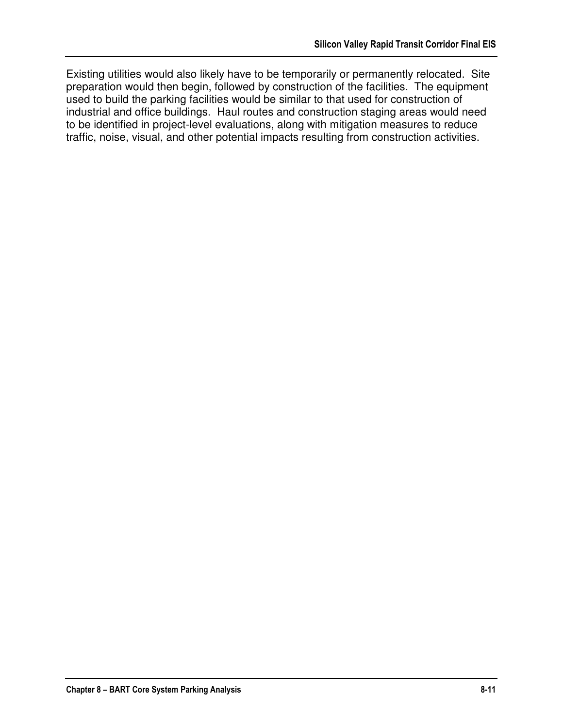Existing utilities would also likely have to be temporarily or permanently relocated. Site preparation would then begin, followed by construction of the facilities. The equipment used to build the parking facilities would be similar to that used for construction of industrial and office buildings. Haul routes and construction staging areas would need to be identified in project-level evaluations, along with mitigation measures to reduce traffic, noise, visual, and other potential impacts resulting from construction activities.